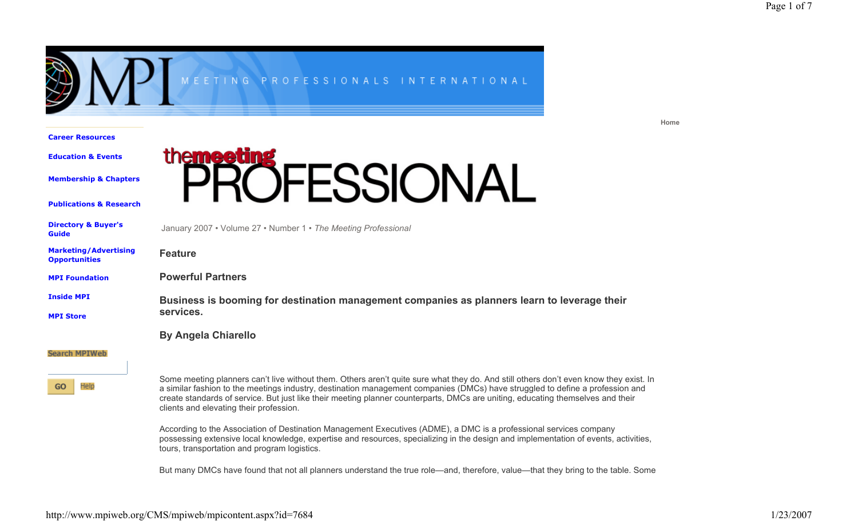**Home**



**Career Resources**

**Education & Events**

**Membership & Chapters**

**Publications & Research**



|  | <b>Directory &amp; Buyer's</b><br><b>Guide</b>       | January 2007 • Volume 27 • Number 1 • The Meeting Professional                                                                                                                                                                                                                                                                                                                                                                                       |
|--|------------------------------------------------------|------------------------------------------------------------------------------------------------------------------------------------------------------------------------------------------------------------------------------------------------------------------------------------------------------------------------------------------------------------------------------------------------------------------------------------------------------|
|  | <b>Marketing/Advertising</b><br><b>Opportunities</b> | <b>Feature</b>                                                                                                                                                                                                                                                                                                                                                                                                                                       |
|  | <b>MPI Foundation</b>                                | <b>Powerful Partners</b>                                                                                                                                                                                                                                                                                                                                                                                                                             |
|  | <b>Inside MPI</b>                                    | Business is booming for destination management companies as planners learn to leverage their                                                                                                                                                                                                                                                                                                                                                         |
|  | <b>MPI Store</b>                                     | services.                                                                                                                                                                                                                                                                                                                                                                                                                                            |
|  |                                                      | <b>By Angela Chiarello</b>                                                                                                                                                                                                                                                                                                                                                                                                                           |
|  | <b>Search MPIWeb</b>                                 |                                                                                                                                                                                                                                                                                                                                                                                                                                                      |
|  | Help<br>GO                                           | Some meeting planners can't live without them. Others aren't quite sure what they do. And still others don't even know they exist. In<br>a similar fashion to the meetings industry, destination management companies (DMCs) have struggled to define a profession and<br>create standards of service. But just like their meeting planner counterparts, DMCs are uniting, educating themselves and their<br>clients and elevating their profession. |
|  |                                                      | According to the Association of Destination Management Executives (ADME), a DMC is a professional services company<br>possessing extensive local knowledge, expertise and resources, specializing in the design and implementation of events, activities,<br>tours, transportation and program logistics.                                                                                                                                            |
|  |                                                      | But many DMCs have found that not all planners understand the true role—and, therefore, value—that they bring to the table. Some                                                                                                                                                                                                                                                                                                                     |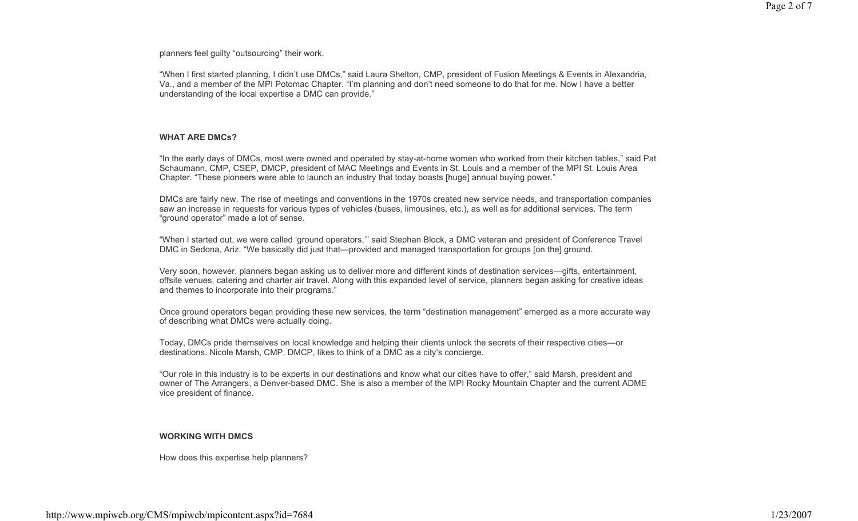planners feel guilty "outsourcing" their work.

"When I first started planning, I didn't use DMCs," said Laura Shelton, CMP, president of Fusion Meetings & Events in Alexandria, Va., and a member of the MPI Potomac Chapter. "I'm planning and don't need someone to do that for me. Now I have a better understanding of the local expertise a DMC can provide."

### **WHAT ARE DMCs?**

"In the early days of DMCs, most were owned and operated by stay-at-home women who worked from their kitchen tables," said Pat Schaumann, CMP, CSEP, DMCP, president of MAC Meetings and Events in St. Louis and a member of the MPI St. Louis Area Chapter. "These pioneers were able to launch an industry that today boasts [huge] annual buying power."

DMCs are fairly new. The rise of meetings and conventions in the 1970s created new service needs, and transportation companies saw an increase in requests for various types of vehicles (buses, limousines, etc.), as well as for additional services. The term "ground operator" made a lot of sense.

"When I started out, we were called 'ground operators,'" said Stephan Block, a DMC veteran and president of Conference Travel DMC in Sedona, Ariz. "We basically did just that—provided and managed transportation for groups [on the] ground.

Very soon, however, planners began asking us to deliver more and different kinds of destination services—gifts, entertainment, offsite venues, catering and charter air travel. Along with this expanded level of service, planners began asking for creative ideas and themes to incorporate into their programs."

Once ground operators began providing these new services, the term "destination management" emerged as a more accurate way of describing what DMCs were actually doing.

Today, DMCs pride themselves on local knowledge and helping their clients unlock the secrets of their respective cities—or destinations. Nicole Marsh, CMP, DMCP, likes to think of a DMC as a city's concierge.

"Our role in this industry is to be experts in our destinations and know what our cities have to offer," said Marsh, president and owner of The Arrangers, a Denver-based DMC. She is also a member of the MPI Rocky Mountain Chapter and the current ADME vice president of finance.

# **WORKING WITH DMCS**

How does this expertise help planners?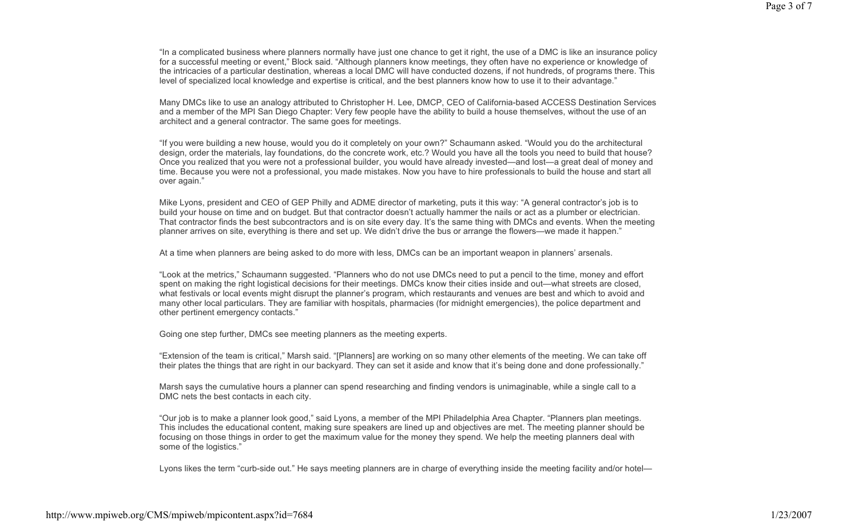"In a complicated business where planners normally have just one chance to get it right, the use of a DMC is like an insurance policy for a successful meeting or event," Block said. "Although planners know meetings, they often have no experience or knowledge of the intricacies of a particular destination, whereas a local DMC will have conducted dozens, if not hundreds, of programs there. This level of specialized local knowledge and expertise is critical, and the best planners know how to use it to their advantage."

Many DMCs like to use an analogy attributed to Christopher H. Lee, DMCP, CEO of California-based ACCESS Destination Services and a member of the MPI San Diego Chapter: Very few people have the ability to build a house themselves, without the use of an architect and a general contractor. The same goes for meetings.

"If you were building a new house, would you do it completely on your own?" Schaumann asked. "Would you do the architectural design, order the materials, lay foundations, do the concrete work, etc.? Would you have all the tools you need to build that house? Once you realized that you were not a professional builder, you would have already invested—and lost—a great deal of money and time. Because you were not a professional, you made mistakes. Now you have to hire professionals to build the house and start all over again."

Mike Lyons, president and CEO of GEP Philly and ADME director of marketing, puts it this way: "A general contractor's job is to build your house on time and on budget. But that contractor doesn't actually hammer the nails or act as a plumber or electrician. That contractor finds the best subcontractors and is on site every day. It's the same thing with DMCs and events. When the meeting planner arrives on site, everything is there and set up. We didn't drive the bus or arrange the flowers—we made it happen."

At a time when planners are being asked to do more with less, DMCs can be an important weapon in planners' arsenals.

"Look at the metrics," Schaumann suggested. "Planners who do not use DMCs need to put a pencil to the time, money and effort spent on making the right logistical decisions for their meetings. DMCs know their cities inside and out—what streets are closed, what festivals or local events might disrupt the planner's program, which restaurants and venues are best and which to avoid and many other local particulars. They are familiar with hospitals, pharmacies (for midnight emergencies), the police department and other pertinent emergency contacts."

Going one step further, DMCs see meeting planners as the meeting experts.

"Extension of the team is critical," Marsh said. "[Planners] are working on so many other elements of the meeting. We can take off their plates the things that are right in our backyard. They can set it aside and know that it's being done and done professionally."

Marsh says the cumulative hours a planner can spend researching and finding vendors is unimaginable, while a single call to a DMC nets the best contacts in each city.

"Our job is to make a planner look good," said Lyons, a member of the MPI Philadelphia Area Chapter. "Planners plan meetings. This includes the educational content, making sure speakers are lined up and objectives are met. The meeting planner should be focusing on those things in order to get the maximum value for the money they spend. We help the meeting planners deal with some of the logistics."

Lyons likes the term "curb-side out." He says meeting planners are in charge of everything inside the meeting facility and/or hotel—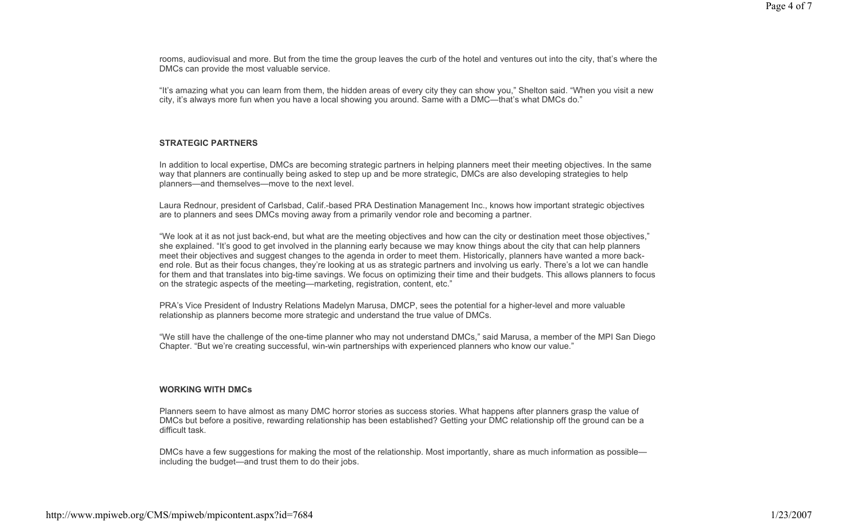rooms, audiovisual and more. But from the time the group leaves the curb of the hotel and ventures out into the city, that's where the DMCs can provide the most valuable service.

"It's amazing what you can learn from them, the hidden areas of every city they can show you," Shelton said. "When you visit a new city, it's always more fun when you have a local showing you around. Same with a DMC—that's what DMCs do."

### **STRATEGIC PARTNERS**

In addition to local expertise, DMCs are becoming strategic partners in helping planners meet their meeting objectives. In the same way that planners are continually being asked to step up and be more strategic, DMCs are also developing strategies to help planners—and themselves—move to the next level.

Laura Rednour, president of Carlsbad, Calif.-based PRA Destination Management Inc., knows how important strategic objectives are to planners and sees DMCs moving away from a primarily vendor role and becoming a partner.

"We look at it as not just back-end, but what are the meeting objectives and how can the city or destination meet those objectives," she explained. "It's good to get involved in the planning early because we may know things about the city that can help planners meet their objectives and suggest changes to the agenda in order to meet them. Historically, planners have wanted a more backend role. But as their focus changes, they're looking at us as strategic partners and involving us early. There's a lot we can handle for them and that translates into big-time savings. We focus on optimizing their time and their budgets. This allows planners to focus on the strategic aspects of the meeting—marketing, registration, content, etc."

PRA's Vice President of Industry Relations Madelyn Marusa, DMCP, sees the potential for a higher-level and more valuable relationship as planners become more strategic and understand the true value of DMCs.

"We still have the challenge of the one-time planner who may not understand DMCs," said Marusa, a member of the MPI San Diego Chapter. "But we're creating successful, win-win partnerships with experienced planners who know our value."

### **WORKING WITH DMCs**

Planners seem to have almost as many DMC horror stories as success stories. What happens after planners grasp the value of DMCs but before a positive, rewarding relationship has been established? Getting your DMC relationship off the ground can be a difficult task.

DMCs have a few suggestions for making the most of the relationship. Most importantly, share as much information as possible including the budget—and trust them to do their jobs.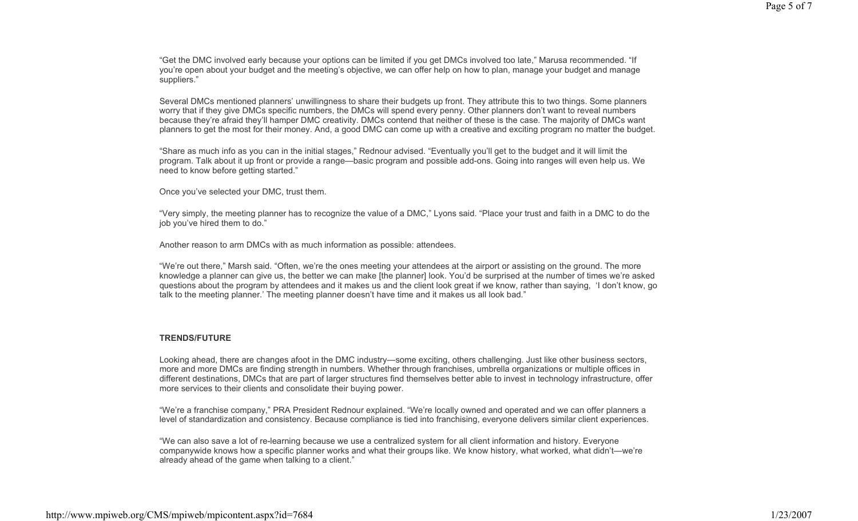"Get the DMC involved early because your options can be limited if you get DMCs involved too late," Marusa recommended. "If you're open about your budget and the meeting's objective, we can offer help on how to plan, manage your budget and manage suppliers."

Several DMCs mentioned planners' unwillingness to share their budgets up front. They attribute this to two things. Some planners worry that if they give DMCs specific numbers, the DMCs will spend every penny. Other planners don't want to reveal numbers because they're afraid they'll hamper DMC creativity. DMCs contend that neither of these is the case. The majority of DMCs want planners to get the most for their money. And, a good DMC can come up with a creative and exciting program no matter the budget.

"Share as much info as you can in the initial stages," Rednour advised. "Eventually you'll get to the budget and it will limit the program. Talk about it up front or provide a range—basic program and possible add-ons. Going into ranges will even help us. We need to know before getting started."

Once you've selected your DMC, trust them.

"Very simply, the meeting planner has to recognize the value of a DMC," Lyons said. "Place your trust and faith in a DMC to do the job you've hired them to do."

Another reason to arm DMCs with as much information as possible: attendees.

"We're out there," Marsh said. "Often, we're the ones meeting your attendees at the airport or assisting on the ground. The more knowledge a planner can give us, the better we can make [the planner] look. You'd be surprised at the number of times we're asked questions about the program by attendees and it makes us and the client look great if we know, rather than saying, 'I don't know, go talk to the meeting planner.' The meeting planner doesn't have time and it makes us all look bad."

# **TRENDS/FUTURE**

Looking ahead, there are changes afoot in the DMC industry—some exciting, others challenging. Just like other business sectors, more and more DMCs are finding strength in numbers. Whether through franchises, umbrella organizations or multiple offices in different destinations, DMCs that are part of larger structures find themselves better able to invest in technology infrastructure, offer more services to their clients and consolidate their buying power.

"We're a franchise company," PRA President Rednour explained. "We're locally owned and operated and we can offer planners a level of standardization and consistency. Because compliance is tied into franchising, everyone delivers similar client experiences.

"We can also save a lot of re-learning because we use a centralized system for all client information and history. Everyone companywide knows how a specific planner works and what their groups like. We know history, what worked, what didn't—we're already ahead of the game when talking to a client."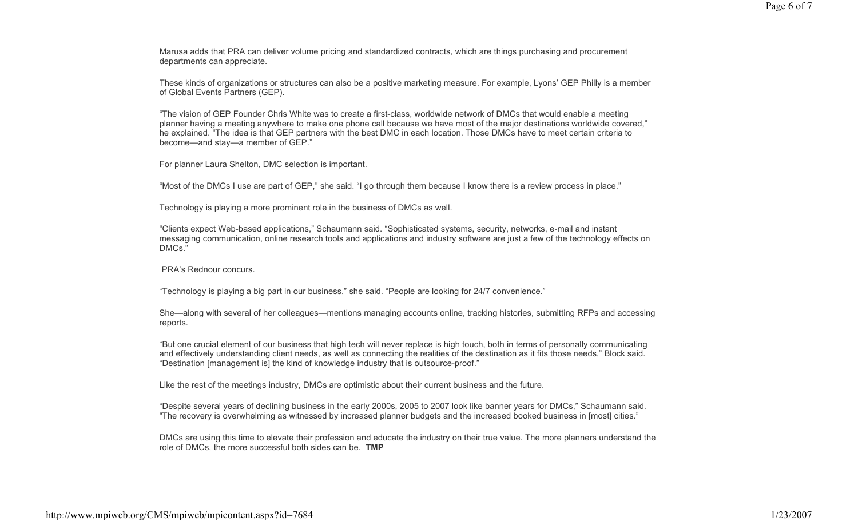Marusa adds that PRA can deliver volume pricing and standardized contracts, which are things purchasing and procurement departments can appreciate.

These kinds of organizations or structures can also be a positive marketing measure. For example, Lyons' GEP Philly is a member of Global Events Partners (GEP).

"The vision of GEP Founder Chris White was to create a first-class, worldwide network of DMCs that would enable a meeting planner having a meeting anywhere to make one phone call because we have most of the major destinations worldwide covered," he explained. "The idea is that GEP partners with the best DMC in each location. Those DMCs have to meet certain criteria to become—and stay—a member of GEP."

For planner Laura Shelton, DMC selection is important.

"Most of the DMCs I use are part of GEP," she said. "I go through them because I know there is a review process in place."

Technology is playing a more prominent role in the business of DMCs as well.

"Clients expect Web-based applications," Schaumann said. "Sophisticated systems, security, networks, e-mail and instant messaging communication, online research tools and applications and industry software are just a few of the technology effects on DMCs.

PRA's Rednour concurs.

"Technology is playing a big part in our business," she said. "People are looking for 24/7 convenience."

She—along with several of her colleagues—mentions managing accounts online, tracking histories, submitting RFPs and accessing reports.

"But one crucial element of our business that high tech will never replace is high touch, both in terms of personally communicating and effectively understanding client needs, as well as connecting the realities of the destination as it fits those needs," Block said. "Destination [management is] the kind of knowledge industry that is outsource-proof."

Like the rest of the meetings industry, DMCs are optimistic about their current business and the future.

"Despite several years of declining business in the early 2000s, 2005 to 2007 look like banner years for DMCs," Schaumann said. "The recovery is overwhelming as witnessed by increased planner budgets and the increased booked business in [most] cities."

DMCs are using this time to elevate their profession and educate the industry on their true value. The more planners understand the role of DMCs, the more successful both sides can be. **TMP**